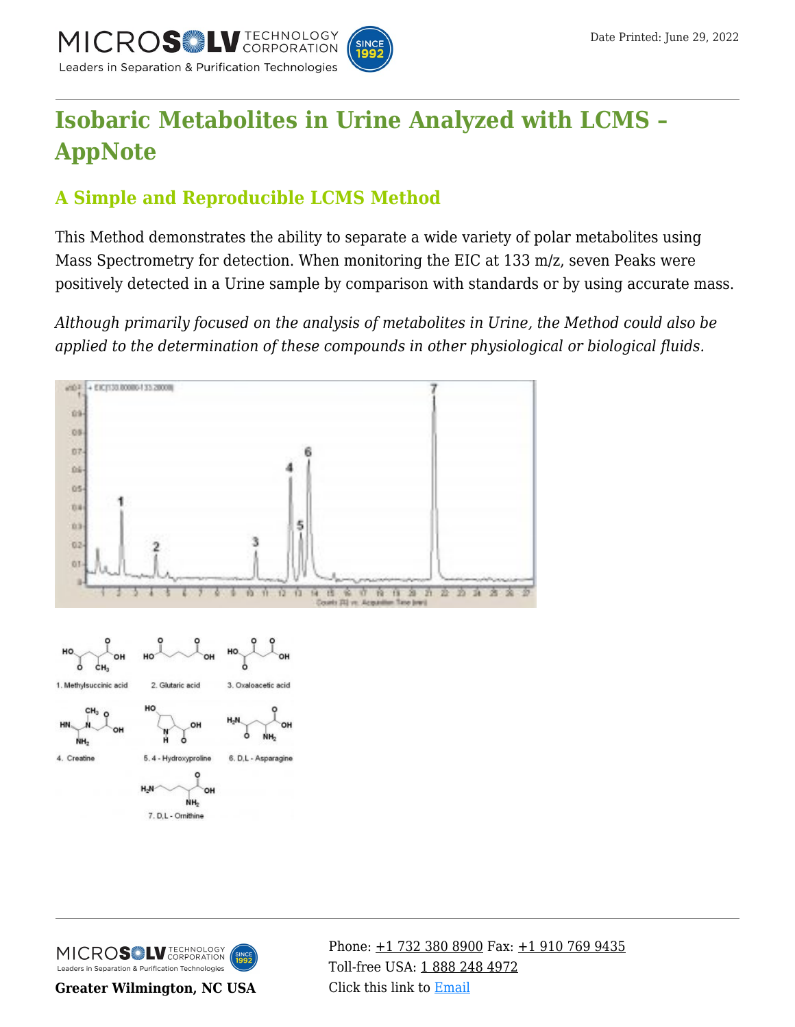

# **[Isobaric Metabolites in Urine Analyzed with LCMS –](https://kb.mtc-usa.com/article/aa-00686/46/) [AppNote](https://kb.mtc-usa.com/article/aa-00686/46/)**

# **A Simple and Reproducible LCMS Method**

This Method demonstrates the ability to separate a wide variety of polar metabolites using Mass Spectrometry for detection. When monitoring the EIC at 133 m/z, seven Peaks were positively detected in a Urine sample by comparison with standards or by using accurate mass.

*Although primarily focused on the analysis of metabolites in Urine, the Method could also be applied to the determination of these compounds in other physiological or biological fluids.*



MICROS<sup>OL</sup> LU TECHNOLOGY Leaders in Separation & Purification Technologies

**Greater Wilmington, NC USA**

Phone:  $\pm$ 1 732 380 8900 Fax:  $\pm$ 1 910 769 9435 Toll-free USA: [1 888 248 4972](#page--1-0) Click this link to [Email](https://www.mtc-usa.com/contact)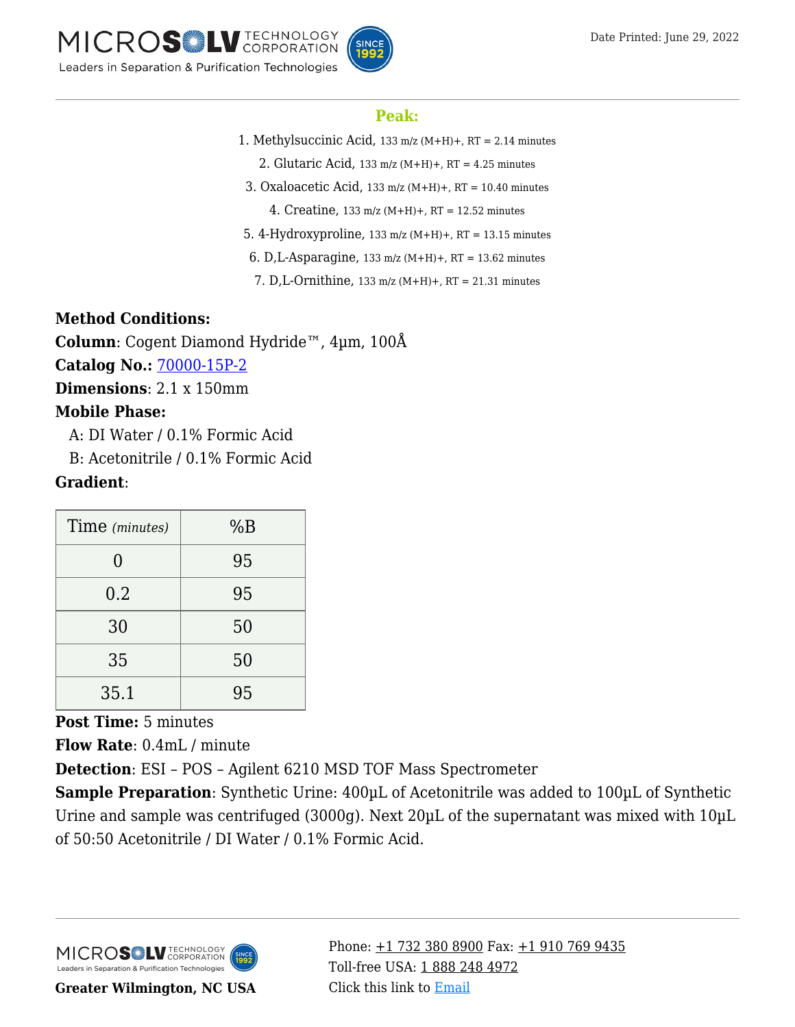



#### **Peak:**

- 1. Methylsuccinic Acid, 133 m/z (M+H)+, RT = 2.14 minutes
	- 2. Glutaric Acid,  $133 \text{ m/z}$  (M+H)+, RT = 4.25 minutes
- 3. Oxaloacetic Acid, 133 m/z (M+H)+, RT = 10.40 minutes
	- 4. Creatine, 133 m/z (M+H)+, RT = 12.52 minutes
- 5. 4-Hydroxyproline, 133 m/z (M+H)+, RT = 13.15 minutes
- 6. D, L-Asparagine,  $133 \text{ m/z}$  (M+H)+, RT = 13.62 minutes
- 7. D,L-Ornithine, 133 m/z (M+H)+, RT = 21.31 minutes

#### **Method Conditions:**

**Column**: Cogent Diamond Hydride™, 4µm, 100Å **Catalog No.:** [70000-15P-2](https://www.mtc-usa.com/product-details/id/4115801)

**Dimensions**: 2.1 x 150mm

## **Mobile Phase:**

A: DI Water / 0.1% Formic Acid

—B: Acetonitrile / 0.1% Formic Acid

## **Gradient**:

| Time (minutes) | %B |
|----------------|----|
| ( )            | 95 |
| 0.2            | 95 |
| 30             | 50 |
| 35             | 50 |
| 35.1           | 95 |

**Post Time:** 5 minutes

**Flow Rate**: 0.4mL / minute

**Detection**: ESI – POS – Agilent 6210 MSD TOF Mass Spectrometer

**Sample Preparation**: Synthetic Urine: 400µL of Acetonitrile was added to 100µL of Synthetic Urine and sample was centrifuged (3000g). Next 20µL of the supernatant was mixed with 10µL of 50:50 Acetonitrile / DI Water / 0.1% Formic Acid.



Phone:  $\pm$ 1 732 380 8900 Fax:  $\pm$ 1 910 769 9435 Toll-free USA: [1 888 248 4972](#page--1-0) Click this link to [Email](https://www.mtc-usa.com/contact)